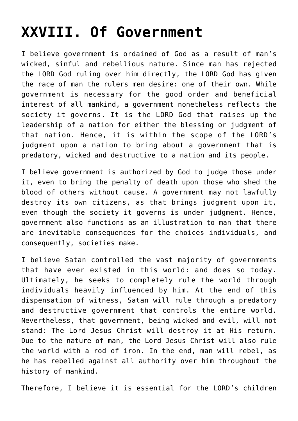## **[XXVIII. Of Government](http://reproachofmen.org/statement-of-faith/xxviii-of-civil-government/)**

I believe government is ordained of God as a result of man's wicked, sinful and rebellious nature. Since man has rejected the LORD God ruling over him directly, the LORD God has given the race of man the rulers men desire: one of their own. While government is necessary for the good order and beneficial interest of all mankind, a government nonetheless reflects the society it governs. It is the LORD God that raises up the leadership of a nation for either the blessing or judgment of that nation. Hence, it is within the scope of the LORD's judgment upon a nation to bring about a government that is predatory, wicked and destructive to a nation and its people.

I believe government is authorized by God to judge those under it, even to bring the penalty of death upon those who shed the blood of others without cause. A government may not lawfully destroy its own citizens, as that brings judgment upon it, even though the society it governs is under judgment. Hence, government also functions as an illustration to man that there are inevitable consequences for the choices individuals, and consequently, societies make.

I believe Satan controlled the vast majority of governments that have ever existed in this world: and does so today. Ultimately, he seeks to completely rule the world through individuals heavily influenced by him. At the end of this dispensation of witness, Satan will rule through a predatory and destructive government that controls the entire world. Nevertheless, that government, being wicked and evil, will not stand: The Lord Jesus Christ will destroy it at His return. Due to the nature of man, the Lord Jesus Christ will also rule the world with a rod of iron. In the end, man will rebel, as he has rebelled against all authority over him throughout the history of mankind.

Therefore, I believe it is essential for the LORD's children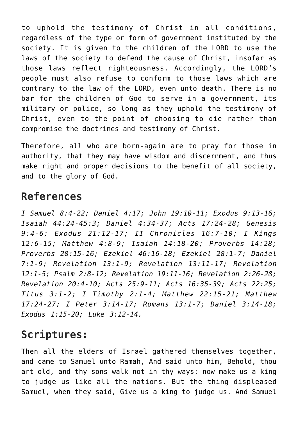to uphold the testimony of Christ in all conditions, regardless of the type or form of government instituted by the society. It is given to the children of the LORD to use the laws of the society to defend the cause of Christ, insofar as those laws reflect righteousness. Accordingly, the LORD's people must also refuse to conform to those laws which are contrary to the law of the LORD, even unto death. There is no bar for the children of God to serve in a government, its military or police, so long as they uphold the testimony of Christ, even to the point of choosing to die rather than compromise the doctrines and testimony of Christ.

Therefore, all who are born-again are to pray for those in authority, that they may have wisdom and discernment, and thus make right and proper decisions to the benefit of all society, and to the glory of God.

## **References**

*I Samuel 8:4-22; Daniel 4:17; John 19:10-11; Exodus 9:13-16; Isaiah 44:24-45:3; Daniel 4:34-37; Acts 17:24-28; Genesis 9:4-6; Exodus 21:12-17; II Chronicles 16:7-10; I Kings 12:6-15; Matthew 4:8-9; Isaiah 14:18-20; Proverbs 14:28; Proverbs 28:15-16; Ezekiel 46:16-18; Ezekiel 28:1-7; Daniel 7:1-9; Revelation 13:1-9; Revelation 13:11-17; Revelation 12:1-5; Psalm 2:8-12; Revelation 19:11-16; Revelation 2:26-28; Revelation 20:4-10; Acts 25:9-11; Acts 16:35-39; Acts 22:25; Titus 3:1-2; I Timothy 2:1-4; Matthew 22:15-21; Matthew 17:24-27; I Peter 3:14-17; Romans 13:1-7; Daniel 3:14-18; Exodus 1:15-20; Luke 3:12-14.*

## **Scriptures:**

Then all the elders of Israel gathered themselves together, and came to Samuel unto Ramah, And said unto him, Behold, thou art old, and thy sons walk not in thy ways: now make us a king to judge us like all the nations. But the thing displeased Samuel, when they said, Give us a king to judge us. And Samuel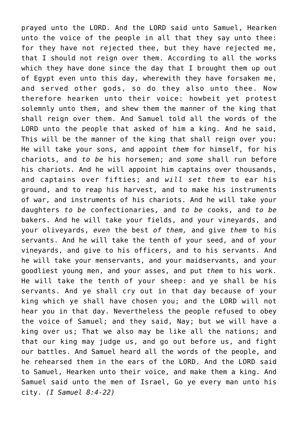prayed unto the LORD. And the LORD said unto Samuel, Hearken unto the voice of the people in all that they say unto thee: for they have not rejected thee, but they have rejected me, that I should not reign over them. According to all the works which they have done since the day that I brought them up out of Egypt even unto this day, wherewith they have forsaken me, and served other gods, so do they also unto thee. Now therefore hearken unto their voice: howbeit yet protest solemnly unto them, and shew them the manner of the king that shall reign over them. And Samuel told all the words of the LORD unto the people that asked of him a king. And he said, This will be the manner of the king that shall reign over you: He will take your sons, and appoint *them* for himself, for his chariots, and *to be* his horsemen; and *some* shall run before his chariots. And he will appoint him captains over thousands, and captains over fifties; and *will set them* to ear his ground, and to reap his harvest, and to make his instruments of war, and instruments of his chariots. And he will take your daughters *to be* confectionaries, and *to be* cooks, and *to be* bakers. And he will take your fields, and your vineyards, and your oliveyards, *even* the best *of them,* and give *them* to his servants. And he will take the tenth of your seed, and of your vineyards, and give to his officers, and to his servants. And he will take your menservants, and your maidservants, and your goodliest young men, and your asses, and put *them* to his work. He will take the tenth of your sheep: and ye shall be his servants. And ye shall cry out in that day because of your king which ye shall have chosen you; and the LORD will not hear you in that day. Nevertheless the people refused to obey the voice of Samuel; and they said, Nay; but we will have a king over us; That we also may be like all the nations; and that our king may judge us, and go out before us, and fight our battles. And Samuel heard all the words of the people, and he rehearsed them in the ears of the LORD. And the LORD said to Samuel, Hearken unto their voice, and make them a king. And Samuel said unto the men of Israel, Go ye every man unto his city. *(I Samuel 8:4-22)*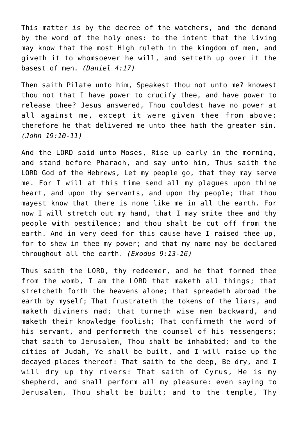This matter *is* by the decree of the watchers, and the demand by the word of the holy ones: to the intent that the living may know that the most High ruleth in the kingdom of men, and giveth it to whomsoever he will, and setteth up over it the basest of men. *(Daniel 4:17)*

Then saith Pilate unto him, Speakest thou not unto me? knowest thou not that I have power to crucify thee, and have power to release thee? Jesus answered, Thou couldest have no power at all against me, except it were given thee from above: therefore he that delivered me unto thee hath the greater sin. *(John 19:10-11)*

And the LORD said unto Moses, Rise up early in the morning, and stand before Pharaoh, and say unto him, Thus saith the LORD God of the Hebrews, Let my people go, that they may serve me. For I will at this time send all my plagues upon thine heart, and upon thy servants, and upon thy people; that thou mayest know that there is none like me in all the earth. For now I will stretch out my hand, that I may smite thee and thy people with pestilence; and thou shalt be cut off from the earth. And in very deed for this cause have I raised thee up, for to shew in thee my power; and that my name may be declared throughout all the earth. *(Exodus 9:13-16)*

Thus saith the LORD, thy redeemer, and he that formed thee from the womb, I am the LORD that maketh all things; that stretcheth forth the heavens alone; that spreadeth abroad the earth by myself; That frustrateth the tokens of the liars, and maketh diviners mad; that turneth wise men backward, and maketh their knowledge foolish; That confirmeth the word of his servant, and performeth the counsel of his messengers; that saith to Jerusalem, Thou shalt be inhabited; and to the cities of Judah, Ye shall be built, and I will raise up the decayed places thereof: That saith to the deep, Be dry, and I will dry up thy rivers: That saith of Cyrus, He is my shepherd, and shall perform all my pleasure: even saying to Jerusalem, Thou shalt be built; and to the temple, Thy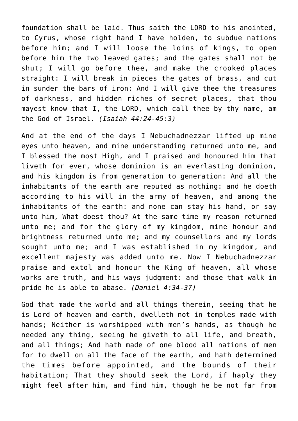foundation shall be laid. Thus saith the LORD to his anointed, to Cyrus, whose right hand I have holden, to subdue nations before him; and I will loose the loins of kings, to open before him the two leaved gates; and the gates shall not be shut; I will go before thee, and make the crooked places straight: I will break in pieces the gates of brass, and cut in sunder the bars of iron: And I will give thee the treasures of darkness, and hidden riches of secret places, that thou mayest know that I, the LORD, which call thee by thy name, am the God of Israel. *(Isaiah 44:24-45:3)*

And at the end of the days I Nebuchadnezzar lifted up mine eyes unto heaven, and mine understanding returned unto me, and I blessed the most High, and I praised and honoured him that liveth for ever, whose dominion is an everlasting dominion, and his kingdom is from generation to generation: And all the inhabitants of the earth are reputed as nothing: and he doeth according to his will in the army of heaven, and among the inhabitants of the earth: and none can stay his hand, or say unto him, What doest thou? At the same time my reason returned unto me; and for the glory of my kingdom, mine honour and brightness returned unto me; and my counsellors and my lords sought unto me; and I was established in my kingdom, and excellent majesty was added unto me. Now I Nebuchadnezzar praise and extol and honour the King of heaven, all whose works are truth, and his ways judgment: and those that walk in pride he is able to abase. *(Daniel 4:34-37)*

God that made the world and all things therein, seeing that he is Lord of heaven and earth, dwelleth not in temples made with hands; Neither is worshipped with men's hands, as though he needed any thing, seeing he giveth to all life, and breath, and all things; And hath made of one blood all nations of men for to dwell on all the face of the earth, and hath determined the times before appointed, and the bounds of their habitation; That they should seek the Lord, if haply they might feel after him, and find him, though he be not far from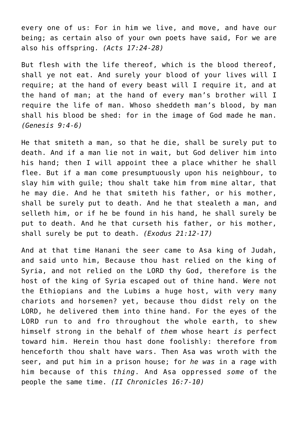every one of us: For in him we live, and move, and have our being; as certain also of your own poets have said, For we are also his offspring. *(Acts 17:24-28)*

But flesh with the life thereof, which is the blood thereof, shall ye not eat. And surely your blood of your lives will I require; at the hand of every beast will I require it, and at the hand of man; at the hand of every man's brother will I require the life of man. Whoso sheddeth man's blood, by man shall his blood be shed: for in the image of God made he man. *(Genesis 9:4-6)*

He that smiteth a man, so that he die, shall be surely put to death. And if a man lie not in wait, but God deliver him into his hand; then I will appoint thee a place whither he shall flee. But if a man come presumptuously upon his neighbour, to slay him with guile; thou shalt take him from mine altar, that he may die. And he that smiteth his father, or his mother, shall be surely put to death. And he that stealeth a man, and selleth him, or if he be found in his hand, he shall surely be put to death. And he that curseth his father, or his mother, shall surely be put to death. *(Exodus 21:12-17)*

And at that time Hanani the seer came to Asa king of Judah, and said unto him, Because thou hast relied on the king of Syria, and not relied on the LORD thy God, therefore is the host of the king of Syria escaped out of thine hand. Were not the Ethiopians and the Lubims a huge host, with very many chariots and horsemen? yet, because thou didst rely on the LORD, he delivered them into thine hand. For the eyes of the LORD run to and fro throughout the whole earth, to shew himself strong in the behalf of *them* whose heart *is* perfect toward him. Herein thou hast done foolishly: therefore from henceforth thou shalt have wars. Then Asa was wroth with the seer, and put him in a prison house; for *he was* in a rage with him because of this *thing*. And Asa oppressed *some* of the people the same time. *(II Chronicles 16:7-10)*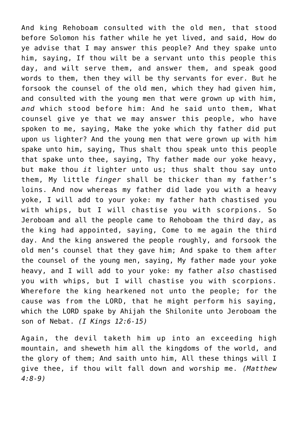And king Rehoboam consulted with the old men, that stood before Solomon his father while he yet lived, and said, How do ye advise that I may answer this people? And they spake unto him, saying, If thou wilt be a servant unto this people this day, and wilt serve them, and answer them, and speak good words to them, then they will be thy servants for ever. But he forsook the counsel of the old men, which they had given him, and consulted with the young men that were grown up with him, *and* which stood before him: And he said unto them, What counsel give ye that we may answer this people, who have spoken to me, saying, Make the yoke which thy father did put upon us lighter? And the young men that were grown up with him spake unto him, saying, Thus shalt thou speak unto this people that spake unto thee, saying, Thy father made our yoke heavy, but make thou *it* lighter unto us; thus shalt thou say unto them, My little *finger* shall be thicker than my father's loins. And now whereas my father did lade you with a heavy yoke, I will add to your yoke: my father hath chastised you with whips, but I will chastise you with scorpions. So Jeroboam and all the people came to Rehoboam the third day, as the king had appointed, saying, Come to me again the third day. And the king answered the people roughly, and forsook the old men's counsel that they gave him; And spake to them after the counsel of the young men, saying, My father made your yoke heavy, and I will add to your yoke: my father *also* chastised you with whips, but I will chastise you with scorpions. Wherefore the king hearkened not unto the people; for the cause was from the LORD, that he might perform his saying, which the LORD spake by Ahijah the Shilonite unto Jeroboam the son of Nebat. *(I Kings 12:6-15)*

Again, the devil taketh him up into an exceeding high mountain, and sheweth him all the kingdoms of the world, and the glory of them; And saith unto him, All these things will I give thee, if thou wilt fall down and worship me. *(Matthew 4:8-9)*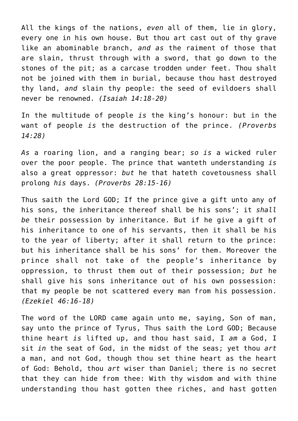All the kings of the nations, *even* all of them, lie in glory, every one in his own house. But thou art cast out of thy grave like an abominable branch, *and as* the raiment of those that are slain, thrust through with a sword, that go down to the stones of the pit; as a carcase trodden under feet. Thou shalt not be joined with them in burial, because thou hast destroyed thy land, *and* slain thy people: the seed of evildoers shall never be renowned. *(Isaiah 14:18-20)*

In the multitude of people *is* the king's honour: but in the want of people *is* the destruction of the prince. *(Proverbs 14:28)*

*As* a roaring lion, and a ranging bear; *so is* a wicked ruler over the poor people. The prince that wanteth understanding *is* also a great oppressor: *but* he that hateth covetousness shall prolong *his* days. *(Proverbs 28:15-16)*

Thus saith the Lord GOD; If the prince give a gift unto any of his sons, the inheritance thereof shall be his sons'; it *shall be* their possession by inheritance. But if he give a gift of his inheritance to one of his servants, then it shall be his to the year of liberty; after it shall return to the prince: but his inheritance shall be his sons' for them. Moreover the prince shall not take of the people's inheritance by oppression, to thrust them out of their possession; *but* he shall give his sons inheritance out of his own possession: that my people be not scattered every man from his possession. *(Ezekiel 46:16-18)*

The word of the LORD came again unto me, saying, Son of man, say unto the prince of Tyrus, Thus saith the Lord GOD; Because thine heart *is* lifted up, and thou hast said, I *am* a God, I sit *in* the seat of God, in the midst of the seas; yet thou *art* a man, and not God, though thou set thine heart as the heart of God: Behold, thou *art* wiser than Daniel; there is no secret that they can hide from thee: With thy wisdom and with thine understanding thou hast gotten thee riches, and hast gotten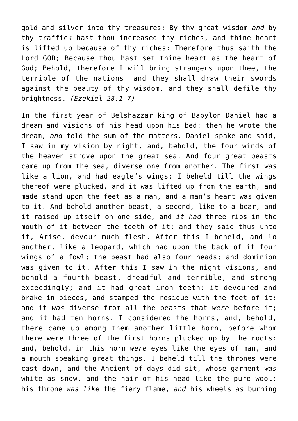gold and silver into thy treasures: By thy great wisdom *and* by thy traffick hast thou increased thy riches, and thine heart is lifted up because of thy riches: Therefore thus saith the Lord GOD; Because thou hast set thine heart as the heart of God; Behold, therefore I will bring strangers upon thee, the terrible of the nations: and they shall draw their swords against the beauty of thy wisdom, and they shall defile thy brightness. *(Ezekiel 28:1-7)*

In the first year of Belshazzar king of Babylon Daniel had a dream and visions of his head upon his bed: then he wrote the dream, *and* told the sum of the matters. Daniel spake and said, I saw in my vision by night, and, behold, the four winds of the heaven strove upon the great sea. And four great beasts came up from the sea, diverse one from another. The first *was* like a lion, and had eagle's wings: I beheld till the wings thereof were plucked, and it was lifted up from the earth, and made stand upon the feet as a man, and a man's heart was given to it. And behold another beast, a second, like to a bear, and it raised up itself on one side, and *it had* three ribs in the mouth of it between the teeth of it: and they said thus unto it, Arise, devour much flesh. After this I beheld, and lo another, like a leopard, which had upon the back of it four wings of a fowl; the beast had also four heads; and dominion was given to it. After this I saw in the night visions, and behold a fourth beast, dreadful and terrible, and strong exceedingly; and it had great iron teeth: it devoured and brake in pieces, and stamped the residue with the feet of it: and it *was* diverse from all the beasts that *were* before it; and it had ten horns. I considered the horns, and, behold, there came up among them another little horn, before whom there were three of the first horns plucked up by the roots: and, behold, in this horn *were* eyes like the eyes of man, and a mouth speaking great things. I beheld till the thrones were cast down, and the Ancient of days did sit, whose garment *was* white as snow, and the hair of his head like the pure wool: his throne *was like* the fiery flame, *and* his wheels *as* burning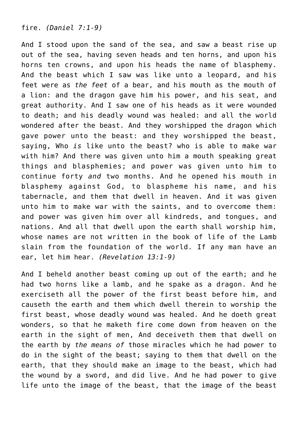fire. *(Daniel 7:1-9)*

And I stood upon the sand of the sea, and saw a beast rise up out of the sea, having seven heads and ten horns, and upon his horns ten crowns, and upon his heads the name of blasphemy. And the beast which I saw was like unto a leopard, and his feet were as *the feet* of a bear, and his mouth as the mouth of a lion: and the dragon gave him his power, and his seat, and great authority. And I saw one of his heads as it were wounded to death; and his deadly wound was healed: and all the world wondered after the beast. And they worshipped the dragon which gave power unto the beast: and they worshipped the beast, saying, Who *is* like unto the beast? who is able to make war with him? And there was given unto him a mouth speaking great things and blasphemies; and power was given unto him to continue forty *and* two months. And he opened his mouth in blasphemy against God, to blaspheme his name, and his tabernacle, and them that dwell in heaven. And it was given unto him to make war with the saints, and to overcome them: and power was given him over all kindreds, and tongues, and nations. And all that dwell upon the earth shall worship him, whose names are not written in the book of life of the Lamb slain from the foundation of the world. If any man have an ear, let him hear. *(Revelation 13:1-9)*

And I beheld another beast coming up out of the earth; and he had two horns like a lamb, and he spake as a dragon. And he exerciseth all the power of the first beast before him, and causeth the earth and them which dwell therein to worship the first beast, whose deadly wound was healed. And he doeth great wonders, so that he maketh fire come down from heaven on the earth in the sight of men, And deceiveth them that dwell on the earth by *the means of* those miracles which he had power to do in the sight of the beast; saying to them that dwell on the earth, that they should make an image to the beast, which had the wound by a sword, and did live. And he had power to give life unto the image of the beast, that the image of the beast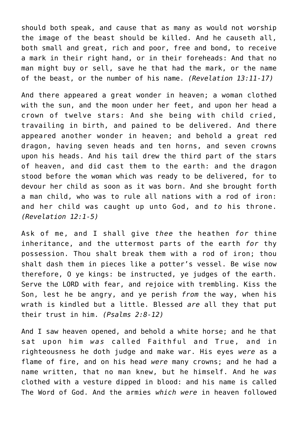should both speak, and cause that as many as would not worship the image of the beast should be killed. And he causeth all, both small and great, rich and poor, free and bond, to receive a mark in their right hand, or in their foreheads: And that no man might buy or sell, save he that had the mark, or the name of the beast, or the number of his name. *(Revelation 13:11-17)*

And there appeared a great wonder in heaven; a woman clothed with the sun, and the moon under her feet, and upon her head a crown of twelve stars: And she being with child cried, travailing in birth, and pained to be delivered. And there appeared another wonder in heaven; and behold a great red dragon, having seven heads and ten horns, and seven crowns upon his heads. And his tail drew the third part of the stars of heaven, and did cast them to the earth: and the dragon stood before the woman which was ready to be delivered, for to devour her child as soon as it was born. And she brought forth a man child, who was to rule all nations with a rod of iron: and her child was caught up unto God, and *to* his throne. *(Revelation 12:1-5)*

Ask of me, and I shall give *thee* the heathen *for* thine inheritance, and the uttermost parts of the earth *for* thy possession. Thou shalt break them with a rod of iron; thou shalt dash them in pieces like a potter's vessel. Be wise now therefore, O ye kings: be instructed, ye judges of the earth. Serve the LORD with fear, and rejoice with trembling. Kiss the Son, lest he be angry, and ye perish *from* the way, when his wrath is kindled but a little. Blessed *are* all they that put their trust in him. *(Psalms 2:8-12)*

And I saw heaven opened, and behold a white horse; and he that sat upon him *was* called Faithful and True, and in righteousness he doth judge and make war. His eyes *were* as a flame of fire, and on his head *were* many crowns; and he had a name written, that no man knew, but he himself. And he *was* clothed with a vesture dipped in blood: and his name is called The Word of God. And the armies *which were* in heaven followed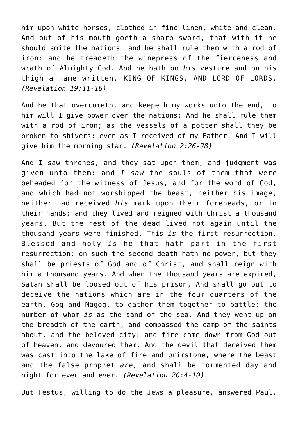him upon white horses, clothed in fine linen, white and clean. And out of his mouth goeth a sharp sword, that with it he should smite the nations: and he shall rule them with a rod of iron: and he treadeth the winepress of the fierceness and wrath of Almighty God. And he hath on *his* vesture and on his thigh a name written, KING OF KINGS, AND LORD OF LORDS. *(Revelation 19:11-16)*

And he that overcometh, and keepeth my works unto the end, to him will I give power over the nations: And he shall rule them with a rod of iron; as the vessels of a potter shall they be broken to shivers: even as I received of my Father. And I will give him the morning star. *(Revelation 2:26-28)*

And I saw thrones, and they sat upon them, and judgment was given unto them: and *I saw* the souls of them that were beheaded for the witness of Jesus, and for the word of God, and which had not worshipped the beast, neither his image, neither had received *his* mark upon their foreheads, or in their hands; and they lived and reigned with Christ a thousand years. But the rest of the dead lived not again until the thousand years were finished. This *is* the first resurrection. Blessed and holy *is* he that hath part in the first resurrection: on such the second death hath no power, but they shall be priests of God and of Christ, and shall reign with him a thousand years. And when the thousand years are expired, Satan shall be loosed out of his prison, And shall go out to deceive the nations which are in the four quarters of the earth, Gog and Magog, to gather them together to battle: the number of whom *is* as the sand of the sea. And they went up on the breadth of the earth, and compassed the camp of the saints about, and the beloved city: and fire came down from God out of heaven, and devoured them. And the devil that deceived them was cast into the lake of fire and brimstone, where the beast and the false prophet *are,* and shall be tormented day and night for ever and ever. *(Revelation 20:4-10)*

But Festus, willing to do the Jews a pleasure, answered Paul,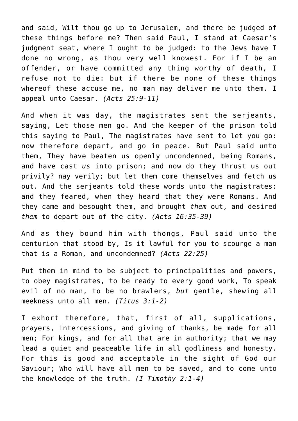and said, Wilt thou go up to Jerusalem, and there be judged of these things before me? Then said Paul, I stand at Caesar's judgment seat, where I ought to be judged: to the Jews have I done no wrong, as thou very well knowest. For if I be an offender, or have committed any thing worthy of death, I refuse not to die: but if there be none of these things whereof these accuse me, no man may deliver me unto them. I appeal unto Caesar. *(Acts 25:9-11)*

And when it was day, the magistrates sent the serjeants, saying, Let those men go. And the keeper of the prison told this saying to Paul, The magistrates have sent to let you go: now therefore depart, and go in peace. But Paul said unto them, They have beaten us openly uncondemned, being Romans, and have cast *us* into prison; and now do they thrust us out privily? nay verily; but let them come themselves and fetch us out. And the serjeants told these words unto the magistrates: and they feared, when they heard that they were Romans. And they came and besought them, and brought *them* out, and desired *them* to depart out of the city. *(Acts 16:35-39)*

And as they bound him with thongs, Paul said unto the centurion that stood by, Is it lawful for you to scourge a man that is a Roman, and uncondemned? *(Acts 22:25)*

Put them in mind to be subject to principalities and powers, to obey magistrates, to be ready to every good work, To speak evil of no man, to be no brawlers, *but* gentle, shewing all meekness unto all men. *(Titus 3:1-2)*

I exhort therefore, that, first of all, supplications, prayers, intercessions, and giving of thanks, be made for all men; For kings, and for all that are in authority; that we may lead a quiet and peaceable life in all godliness and honesty. For this is good and acceptable in the sight of God our Saviour; Who will have all men to be saved, and to come unto the knowledge of the truth. *(I Timothy 2:1-4)*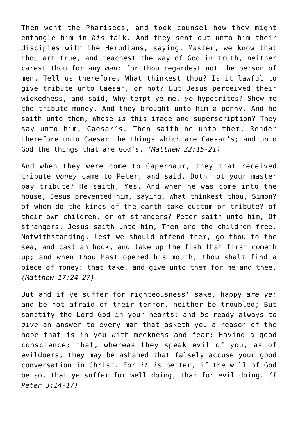Then went the Pharisees, and took counsel how they might entangle him in *his* talk. And they sent out unto him their disciples with the Herodians, saying, Master, we know that thou art true, and teachest the way of God in truth, neither carest thou for any *man:* for thou regardest not the person of men. Tell us therefore, What thinkest thou? Is it lawful to give tribute unto Caesar, or not? But Jesus perceived their wickedness, and said, Why tempt ye me, *ye* hypocrites? Shew me the tribute money. And they brought unto him a penny. And he saith unto them, Whose *is* this image and superscription? They say unto him, Caesar's. Then saith he unto them, Render therefore unto Caesar the things which are Caesar's; and unto God the things that are God's. *(Matthew 22:15-21)*

And when they were come to Capernaum, they that received tribute *money* came to Peter, and said, Doth not your master pay tribute? He saith, Yes. And when he was come into the house, Jesus prevented him, saying, What thinkest thou, Simon? of whom do the kings of the earth take custom or tribute? of their own children, or of strangers? Peter saith unto him, Of strangers. Jesus saith unto him, Then are the children free. Notwithstanding, lest we should offend them, go thou to the sea, and cast an hook, and take up the fish that first cometh up; and when thou hast opened his mouth, thou shalt find a piece of money: that take, and give unto them for me and thee. *(Matthew 17:24-27)*

But and if ye suffer for righteousness' sake, happy *are ye:* and be not afraid of their terror, neither be troubled; But sanctify the Lord God in your hearts: and *be* ready always to *give* an answer to every man that asketh you a reason of the hope that is in you with meekness and fear: Having a good conscience; that, whereas they speak evil of you, as of evildoers, they may be ashamed that falsely accuse your good conversation in Christ. For *it is* better, if the will of God be so, that ye suffer for well doing, than for evil doing. *(I Peter 3:14-17)*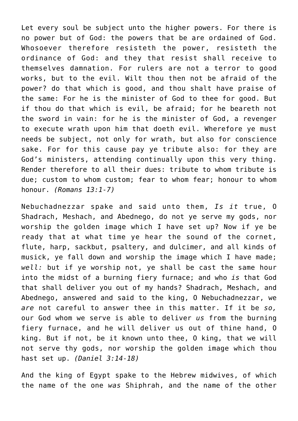Let every soul be subject unto the higher powers. For there is no power but of God: the powers that be are ordained of God. Whosoever therefore resisteth the power, resisteth the ordinance of God: and they that resist shall receive to themselves damnation. For rulers are not a terror to good works, but to the evil. Wilt thou then not be afraid of the power? do that which is good, and thou shalt have praise of the same: For he is the minister of God to thee for good. But if thou do that which is evil, be afraid; for he beareth not the sword in vain: for he is the minister of God, a revenger to execute wrath upon him that doeth evil. Wherefore ye must needs be subject, not only for wrath, but also for conscience sake. For for this cause pay ye tribute also: for they are God's ministers, attending continually upon this very thing. Render therefore to all their dues: tribute to whom tribute is due; custom to whom custom; fear to whom fear; honour to whom honour. *(Romans 13:1-7)*

Nebuchadnezzar spake and said unto them, *Is it* true, O Shadrach, Meshach, and Abednego, do not ye serve my gods, nor worship the golden image which I have set up? Now if ye be ready that at what time ye hear the sound of the cornet, flute, harp, sackbut, psaltery, and dulcimer, and all kinds of musick, ye fall down and worship the image which I have made; *well:* but if ye worship not, ye shall be cast the same hour into the midst of a burning fiery furnace; and who *is* that God that shall deliver you out of my hands? Shadrach, Meshach, and Abednego, answered and said to the king, O Nebuchadnezzar, we *are* not careful to answer thee in this matter. If it be *so,* our God whom we serve is able to deliver *us* from the burning fiery furnace, and he will deliver us out of thine hand, O king. But if not, be it known unto thee, O king, that we will not serve thy gods, nor worship the golden image which thou hast set up. *(Daniel 3:14-18)*

And the king of Egypt spake to the Hebrew midwives, of which the name of the one *was* Shiphrah, and the name of the other